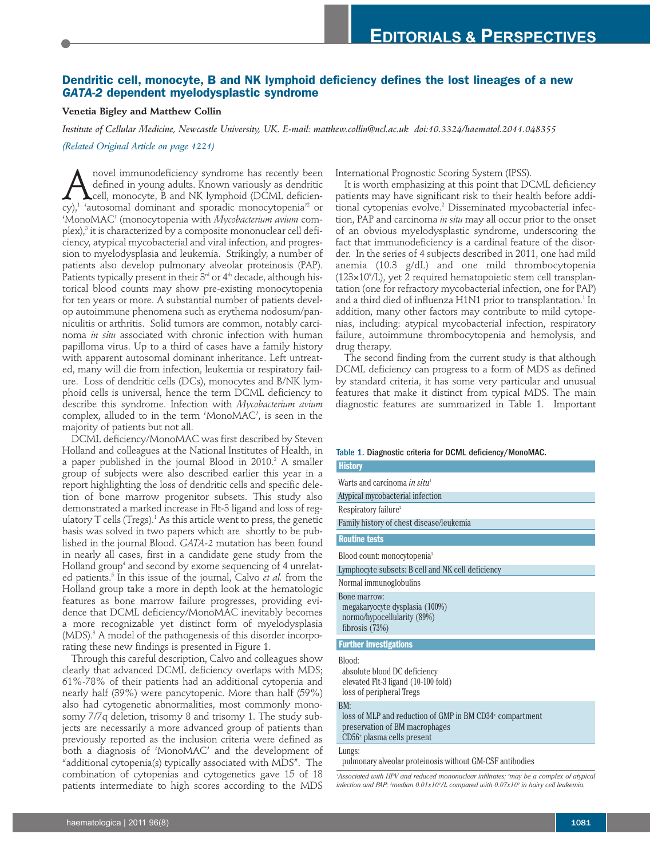## **Dendritic cell, monocyte, B and NK lymphoid deficiency defines the lost lineages of a new** *GATA-2* **dependent myelodysplastic syndrome**

#### **Venetia Bigley and Matthew Collin**

*Institute of Cellular Medicine, Newcastle University, UK. E-mail: matthew.collin@ncl.ac.uk doi:10.3324/haematol.2011.048355*

*(Related Original Article on page 1221)*

Anovel immunodeficiency syndrome has recently been<br>defined in young adults. Known variously as dendritic<br>cv).<sup>1</sup> 'autosomal dominant and sporadic monocytopenia'<sup>2</sup> or defined in young adults. Known variously as dendritic cell, monocyte, B and NK lymphoid (DCML deficiency), <sup>1</sup> 'autosomal dominant and sporadic monocytopenia' <sup>2</sup> or 'MonoMAC' (monocytopenia with *Mycobacterium avium* complex), <sup>3</sup> it is characterized by a composite mononuclear cell deficiency, atypical mycobacterial and viral infection, and progression to myelodysplasia and leukemia. Strikingly, a number of patients also develop pulmonary alveolar proteinosis (PAP). Patients typically present in their 3<sup>rd</sup> or 4<sup>th</sup> decade, although historical blood counts may show pre-existing monocytopenia for ten years or more. A substantial number of patients develop autoimmune phenomena such as erythema nodosum/panniculitis or arthritis. Solid tumors are common, notably carcinoma *in situ* associated with chronic infection with human papilloma virus. Up to a third of cases have a family history with apparent autosomal dominant inheritance. Left untreated, many will die from infection, leukemia or respiratory failure. Loss of dendritic cells (DCs), monocytes and B/NK lymphoid cells is universal, hence the term DCML deficiency to describe this syndrome. Infection with *Mycobacterium avium* complex, alluded to in the term 'MonoMAC', is seen in the majority of patients but not all.

DCML deficiency/MonoMAC was first described by Steven Holland and colleagues at the National Institutes of Health, in a paper published in the journal Blood in 2010. <sup>2</sup> A smaller group of subjects were also described earlier this year in a report highlighting the loss of dendritic cells and specific deletion of bone marrow progenitor subsets. This study also demonstrated a marked increase in Flt-3 ligand and loss of regulatory T cells (Tregs). $^{\rm 1}$  As this article went to press, the genetic basis was solved in two papers which are shortly to be published in the journal Blood. *GATA-2* mutation has been found in nearly all cases, first in a candidate gene study from the Holland group<sup>4</sup> and second by exome sequencing of 4 unrelated patients. <sup>5</sup> In this issue of the journal, Calvo *et al.* from the Holland group take a more in depth look at the hematologic features as bone marrow failure progresses, providing evidence that DCML deficiency/MonoMAC inevitably becomes a more recognizable yet distinct form of myelodysplasia (MDS). <sup>3</sup> A model of the pathogenesis of this disorder incorporating these new findings is presented in Figure 1.

Through this careful description, Calvo and colleagues show clearly that advanced DCML deficiency overlaps with MDS; 61%-78% of their patients had an additional cytopenia and nearly half (39%) were pancytopenic. More than half (59%) also had cytogenetic abnormalities, most commonly monosomy 7/7q deletion, trisomy 8 and trisomy 1. The study subjects are necessarily a more advanced group of patients than previously reported as the inclusion criteria were defined as both a diagnosis of 'MonoMAC' and the development of "additional cytopenia(s) typically associated with MDS". The combination of cytopenias and cytogenetics gave 15 of 18 patients intermediate to high scores according to the MDS

International Prognostic Scoring System (IPSS).

It is worth emphasizing at this point that DCML deficiency patients may have significant risk to their health before additional cytopenias evolve. <sup>2</sup> Disseminated mycobacterial infection, PAP and carcinoma *in situ* may all occur prior to the onset of an obvious myelodysplastic syndrome, underscoring the fact that immunodeficiency is a cardinal feature of the disorder. In the series of 4 subjects described in 2011, one had mild anemia (10.3 g/dL) and one mild thrombocytopenia  $(123\times10^9/\text{L})$ , yet 2 required hematopoietic stem cell transplantation (one for refractory mycobacterial infection, one for PAP) and a third died of influenza H1N1 prior to transplantation. <sup>1</sup> In addition, many other factors may contribute to mild cytopenias, including: atypical mycobacterial infection, respiratory failure, autoimmune thrombocytopenia and hemolysis, and drug therapy.

The second finding from the current study is that although DCML deficiency can progress to a form of MDS as defined by standard criteria, it has some very particular and unusual features that make it distinct from typical MDS. The main diagnostic features are summarized in Table 1. Important

# Table 1. Diagnostic criteria for DCML deficiency/MonoMAC.

| <b>History</b>                                                                                            |
|-----------------------------------------------------------------------------------------------------------|
| Warts and carcinoma <i>in situ</i> <sup>1</sup>                                                           |
| Atypical mycobacterial infection                                                                          |
| Respiratory failure <sup>2</sup>                                                                          |
| Family history of chest disease/leukemia                                                                  |
| <b>Routine tests</b>                                                                                      |
| Blood count: monocytopenia <sup>3</sup>                                                                   |
| Lymphocyte subsets: B cell and NK cell deficiency                                                         |
| Normal immunoglobulins                                                                                    |
| Bone marrow:<br>megakaryocyte dysplasia (100%)<br>normo/hypocellularity (89%)<br>fibrosis (73%)           |
| <b>Further investigations</b>                                                                             |
| Blood:<br>absolute blood DC deficiency<br>elevated Flt-3 ligand (10-100 fold)<br>loss of peripheral Tregs |
| BM:                                                                                                       |
| loss of MLP and reduction of GMP in BM CD34 <sup>+</sup> compartment                                      |
| preservation of BM macrophages<br>CD56 <sup>+</sup> plasma cells present                                  |

# Lungs:

pulmonaryalveolar proteinosis without GM-CSF antibodies

*1 Associated with HPV and reduced mononuclear infiltrates; <sup>2</sup> may be a complex of atypical infection and PAP; <sup>3</sup> median 0.01x109 /L compared with 0.07x109 in hairy cell leukemia.*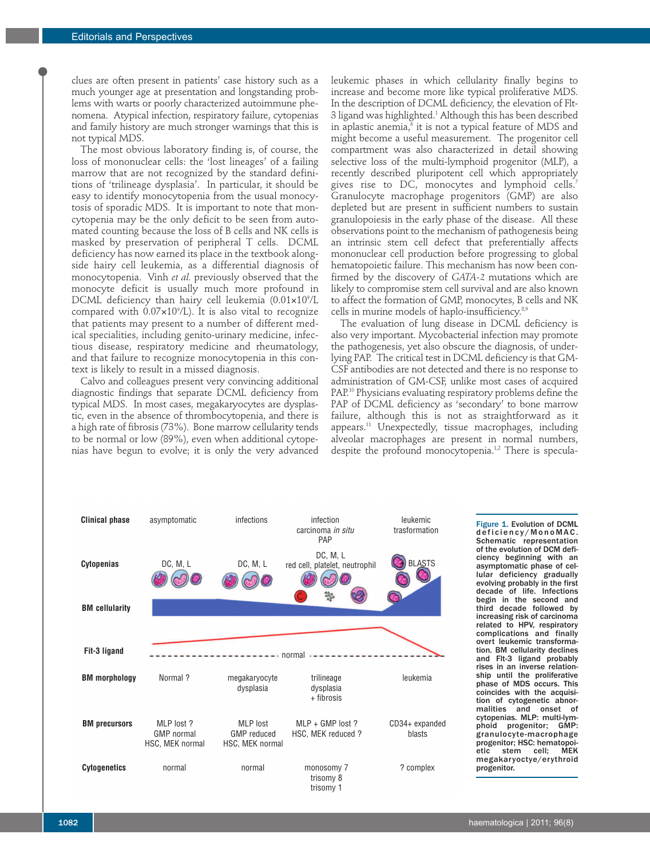clues are often present in patients' case history such as a much younger age at presentation and longstanding problems with warts or poorly characterized autoimmune phenomena. Atypical infection, respiratory failure, cytopenias and family history are much stronger warnings that this is not typical MDS.

The most obvious laboratory finding is, of course, the loss of mononuclear cells: the 'lost lineages' of a failing marrow that are not recognized by the standard definitions of 'trilineage dysplasia'. In particular, it should be easy to identify monocytopenia from the usual monocytosis of sporadic MDS. It is important to note that moncytopenia may be the only deficit to be seen from automated counting because the loss of B cells and NK cells is masked by preservation of peripheral T cells. DCML deficiency has now earned its place in the textbook alongside hairy cell leukemia, as a differential diagnosis of monocytopenia. Vinh *et al.* previously observed that the monocyte deficit is usually much more profound in  $\rm{DCML}$  deficiency than hairy cell leukemia ( $\rm{0.01{\times}10^{\circ}/L}$ compared with  $0.07\times10^9$ /L). It is also vital to recognize that patients may present to a number of different medical specialities, including genito-urinary medicine, infectious disease, respiratory medicine and rheumatology, and that failure to recognize monocytopenia in this context is likely to result in a missed diagnosis.

Calvo and colleagues present very convincing additional diagnostic findings that separate DCML deficiency from typical MDS. In most cases, megakaryocytes are dysplastic, even in the absence of thrombocytopenia, and there is a high rate of fibrosis (73%). Bone marrow cellularity tends to be normal or low (89%), even when additional cytopenias have begun to evolve; it is only the very advanced

leukemic phases in which cellularity finally begins to increase and become more like typical proliferative MDS. In the description of DCML deficiency, the elevation of Flt-3 ligand was highlighted. <sup>1</sup> Although this has been described in aplastic anemia, $^{\circ}$  it is not a typical feature of MDS and might become a useful measurement. The progenitor cell compartment was also characterized in detail showing selective loss of the multi-lymphoid progenitor (MLP), a recently described pluripotent cell which appropriately gives rise to DC, monocytes and lymphoid cells. 7 Granulocyte macrophage progenitors (GMP) are also depleted but are present in sufficient numbers to sustain granulopoiesis in the early phase of the disease. All these observations point to the mechanism of pathogenesis being an intrinsic stem cell defect that preferentially affects mononuclear cell production before progressing to global hematopoietic failure. This mechanism has now been confirmed by the discovery of *GATA-2* mutations which are likely to compromise stem cell survival and are also known to affect the formation of GMP, monocytes, B cells and NK cells in murine models of haplo-insufficiency.<sup>8,9</sup>

The evaluation of lung disease in DCML deficiency is also very important. Mycobacterial infection may promote the pathogenesis, yet also obscure the diagnosis, of underlying PAP. The critical test in DCML deficiency is that GM-CSF antibodies are not detected and there is no response to administration of GM-CSF, unlike most cases of acquired PAP. <sup>10</sup> Physicians evaluating respiratory problems define the PAP of DCML deficiency as 'secondary' to bone marrow failure, although this is not as straightforward as it appears. <sup>11</sup> Unexpectedly, tissue macrophages, including alveolar macrophages are present in normal numbers, despite the profound monocytopenia.<sup>1,2</sup> There is specula-



Figure 1. Evolution of DCML d eficiency/MonoMAC. Schematic representation of the evolution of DCM deficiency beginning with an asymptomatic phase of cellular deficiency gradually evolving probably in the first decade of life. Infections begin in the second and third decade followed by increasing risk of carcinoma related to HPV, respiratory complications and finally overt leukemic transformation. BM cellularity declines and Flt-3 ligand probably rises in an inverse relationship until the proliferative phase of MDS occurs. This coincides with the acquisition of cytogenetic abnormalities and onset of cytopenias. MLP: multi-lymphoid progenitor; GMP: granulocyte-macrophage progenitor; HSC: hematopoi-<br>etic stem cell; MEK etic stem megakaryoctye/erythroid progenitor.